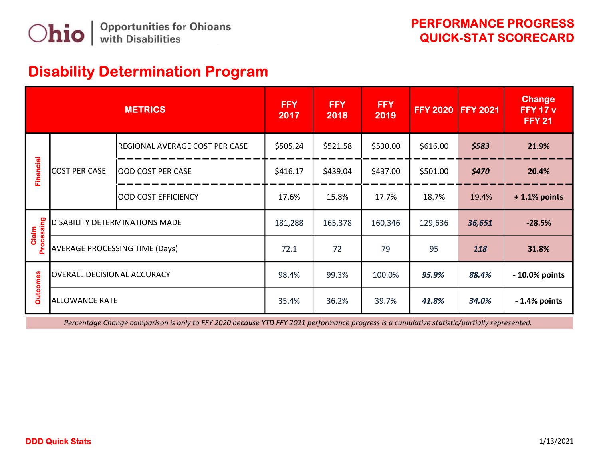## Disability Determination Program

| <b>METRICS</b>    |                                       |                                | FFY<br>2017 | <b>FFY</b><br>2018 | <b>FFY</b><br>2019 | <b>FFY 2020</b> | <b>FFY 2021</b> | <b>Change</b><br><b>FFY 17 v</b><br><b>FFY 21</b> |
|-------------------|---------------------------------------|--------------------------------|-------------|--------------------|--------------------|-----------------|-----------------|---------------------------------------------------|
| <b>Financial</b>  | <b>COST PER CASE</b>                  | REGIONAL AVERAGE COST PER CASE | \$505.24    | \$521.58           | \$530.00           | \$616.00        | \$583           | 21.9%                                             |
|                   |                                       | OOD COST PER CASE              | \$416.17    | \$439.04           | \$437.00           | \$501.00        | \$470           | 20.4%                                             |
|                   |                                       | OOD COST EFFICIENCY            | 17.6%       | 15.8%              | 17.7%              | 18.7%           | 19.4%           | $+1.1\%$ points                                   |
| puisseoc<br>Claim | <b>DISABILITY DETERMINATIONS MADE</b> |                                | 181,288     | 165,378            | 160,346            | 129,636         | 36,651          | $-28.5%$                                          |
|                   | <b>AVERAGE PROCESSING TIME (Days)</b> |                                | 72.1        | 72                 | 79                 | 95              | 118             | 31.8%                                             |
| <b>Outcomes</b>   | OVERALL DECISIONAL ACCURACY           |                                | 98.4%       | 99.3%              | 100.0%             | 95.9%           | 88.4%           | - 10.0% points                                    |
|                   | <b>ALLOWANCE RATE</b>                 |                                | 35.4%       | 36.2%              | 39.7%              | 41.8%           | 34.0%           | $-1.4%$ points                                    |

Percentage Change comparison is only to FFY 2020 because YTD FFY 2021 performance progress is a cumulative statistic/partially represented.